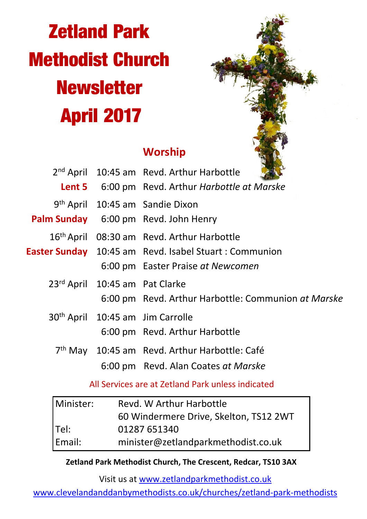# **Zetland Park Methodist Church Newsletter April 2017**



# **Worship**

|                                | 2 <sup>nd</sup> April 10:45 am Revd. Arthur Harbottle<br><b>Lent 5</b> 6:00 pm Revd. Arthur Harbottle at Marske                                      |  |
|--------------------------------|------------------------------------------------------------------------------------------------------------------------------------------------------|--|
|                                | 9 <sup>th</sup> April 10:45 am Sandie Dixon<br>Palm Sunday 6:00 pm Revd. John Henry                                                                  |  |
|                                | 16 <sup>th</sup> April 08:30 am Revd. Arthur Harbottle<br>Easter Sunday 10:45 am Revd. Isabel Stuart: Communion<br>6:00 pm Easter Praise at Newcomen |  |
| 23rd April 10:45 am Pat Clarke | 6:00 pm Revd. Arthur Harbottle: Communion at Marske                                                                                                  |  |
|                                | 30 <sup>th</sup> April 10:45 am Jim Carrolle<br>6:00 pm Revd. Arthur Harbottle                                                                       |  |
|                                | 7 <sup>th</sup> May 10:45 am Revd. Arthur Harbottle: Café<br>6:00 pm Revd. Alan Coates at Marske                                                     |  |

All Services are at Zetland Park unless indicated

| l Minister: | Revd. W Arthur Harbottle               |  |  |
|-------------|----------------------------------------|--|--|
|             | 60 Windermere Drive, Skelton, TS12 2WT |  |  |
| lTel:       | 01287 651340                           |  |  |
| Email:      | minister@zetlandparkmethodist.co.uk    |  |  |

**Zetland Park Methodist Church, The Crescent, Redcar, TS10 3AX**

Visit us at www.zetlandparkmethodist.co.uk

www.clevelandanddanbymethodists.co.uk/churches/zetland-park-methodists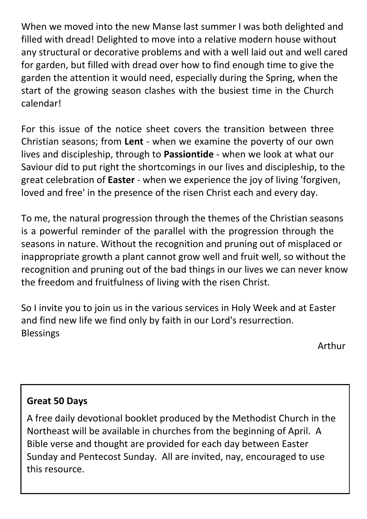When we moved into the new Manse last summer I was both delighted and filled with dread! Delighted to move into a relative modern house without any structural or decorative problems and with a well laid out and well cared for garden, but filled with dread over how to find enough time to give the garden the attention it would need, especially during the Spring, when the start of the growing season clashes with the busiest time in the Church calendar!

For this issue of the notice sheet covers the transition between three Christian seasons; from **Lent** - when we examine the poverty of our own lives and discipleship, through to **Passiontide** - when we look at what our Saviour did to put right the shortcomings in our lives and discipleship, to the great celebration of **Easter** - when we experience the joy of living 'forgiven, loved and free' in the presence of the risen Christ each and every day.

To me, the natural progression through the themes of the Christian seasons is a powerful reminder of the parallel with the progression through the seasons in nature. Without the recognition and pruning out of misplaced or inappropriate growth a plant cannot grow well and fruit well, so without the recognition and pruning out of the bad things in our lives we can never know the freedom and fruitfulness of living with the risen Christ.

So I invite you to join us in the various services in Holy Week and at Easter and find new life we find only by faith in our Lord's resurrection. Blessings

Arthur

## **Great 50 Days**

A free daily devotional booklet produced by the Methodist Church in the Northeast will be available in churches from the beginning of April. A Bible verse and thought are provided for each day between Easter Sunday and Pentecost Sunday. All are invited, nay, encouraged to use this resource.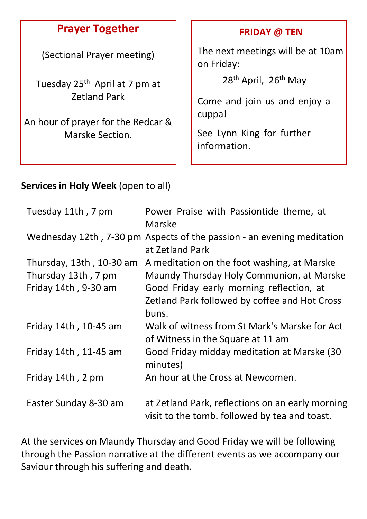## **Prayer Together**

(Sectional Prayer meeting)

Tuesday 25th April at 7 pm at Zetland Park

An hour of prayer for the Redcar & Marske Section.

#### **FRIDAY @ TEN**

The next meetings will be at 10am on Friday:

28<sup>th</sup> April, 26<sup>th</sup> May

Come and join us and enjoy a cuppa!

See Lynn King for further information.

### **Services in Holy Week** (open to all)

| Tuesday 11th, 7 pm       | Power Praise with Passiontide theme, at<br>Marske                                                 |
|--------------------------|---------------------------------------------------------------------------------------------------|
|                          | Wednesday 12th, 7-30 pm Aspects of the passion - an evening meditation<br>at Zetland Park         |
| Thursday, 13th, 10-30 am | A meditation on the foot washing, at Marske                                                       |
| Thursday 13th, 7 pm      | Maundy Thursday Holy Communion, at Marske                                                         |
| Friday 14th, 9-30 am     | Good Friday early morning reflection, at                                                          |
|                          | Zetland Park followed by coffee and Hot Cross                                                     |
|                          | buns.                                                                                             |
| Friday 14th, 10-45 am    | Walk of witness from St Mark's Marske for Act                                                     |
|                          | of Witness in the Square at 11 am                                                                 |
| Friday 14th, 11-45 am    | Good Friday midday meditation at Marske (30<br>minutes)                                           |
| Friday 14th, 2 pm        | An hour at the Cross at Newcomen.                                                                 |
| Easter Sunday 8-30 am    | at Zetland Park, reflections on an early morning<br>visit to the tomb. followed by tea and toast. |

At the services on Maundy Thursday and Good Friday we will be following through the Passion narrative at the different events as we accompany our Saviour through his suffering and death.